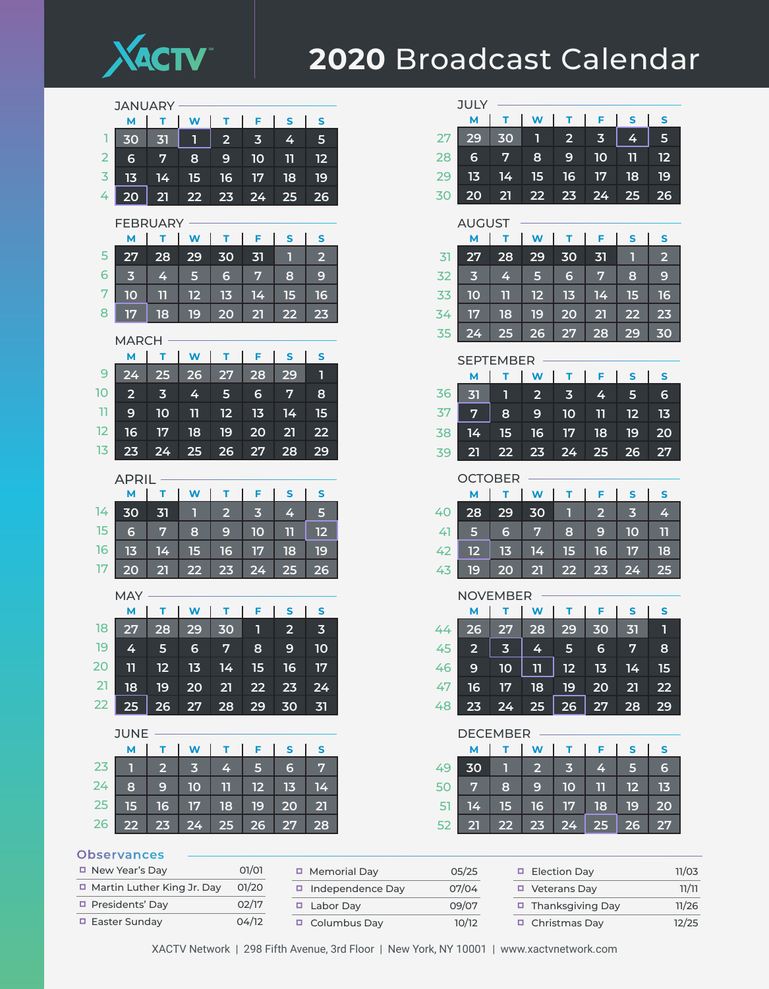

## Broadcast Calendar

|                 | <b>JANUARY</b>          |                         |                         |                 |                         |                         |                         |  |  |  |  |  |
|-----------------|-------------------------|-------------------------|-------------------------|-----------------|-------------------------|-------------------------|-------------------------|--|--|--|--|--|
|                 | M                       | T                       | $\mathbf W$             | т               | F.                      | $\mathbf{s}$            | ${\sf s}$               |  |  |  |  |  |
| ı               | 30                      | 31                      | 1                       | $\overline{2}$  | $\overline{3}$          | 4                       | 5                       |  |  |  |  |  |
| $\overline{2}$  | 6                       | 7                       | 8                       | 9               | 10                      | 11                      | 12                      |  |  |  |  |  |
| 3               | 13                      | 14                      | 15                      | 16              | 17                      | 18                      | 19                      |  |  |  |  |  |
| 4               | 20                      | 21                      | 22                      | 23              | 24                      | 25                      | 26                      |  |  |  |  |  |
|                 | <b>FEBRUARY</b>         |                         |                         |                 |                         |                         |                         |  |  |  |  |  |
|                 | M                       | T.                      | W                       | т               | F.                      | $\mathsf{s}$            | S                       |  |  |  |  |  |
| 5               | 27                      | 28                      | 29                      | 30              | 31                      | П                       | $\overline{2}$          |  |  |  |  |  |
| 6               | $\overline{\mathbf{3}}$ | 4                       | 5                       | $6\phantom{1}6$ | 7                       | 8                       | 9                       |  |  |  |  |  |
| 7               | 10                      | 11                      | $\overline{12}$         | 13              | 14                      | 15                      | 16                      |  |  |  |  |  |
| 8               | 17                      | 18                      | 19                      | 20              | 21                      | 22                      | 23                      |  |  |  |  |  |
|                 |                         |                         |                         |                 |                         |                         |                         |  |  |  |  |  |
|                 | <b>MARCH</b><br>M       | т                       | W                       | т               | F.                      | $\mathsf{s}$            | S                       |  |  |  |  |  |
| 9               | 24                      | 25                      | 26                      | 27              | 28                      | 29                      | 1                       |  |  |  |  |  |
| 10              | $\overline{2}$          | $\overline{\mathbf{3}}$ | 4                       | 5               | $6\phantom{1}6$         | 7                       | 8                       |  |  |  |  |  |
| $\overline{11}$ | 9                       | 10                      | 11                      | 12              | 13                      | 14                      | 15                      |  |  |  |  |  |
| 12              | 16                      | 17                      | 18                      | 19              | 20                      | 21                      | 22                      |  |  |  |  |  |
| 13              | 23                      | 24                      | 25                      | 26              | 27                      | 28                      | 29                      |  |  |  |  |  |
|                 |                         |                         |                         |                 |                         |                         |                         |  |  |  |  |  |
|                 | <b>APRIL</b><br>M       | т                       | W                       | т               | F                       | S                       | S                       |  |  |  |  |  |
| 14              | 30                      | 31                      | П                       | $\overline{2}$  | $\overline{\mathbf{3}}$ | 4                       | 5                       |  |  |  |  |  |
| 15              | 6                       | 7                       | 8                       | 9               | 10                      | 11                      | 12                      |  |  |  |  |  |
| 16              | 13                      | 14                      | 15                      | 16              | 17                      | 18                      | 19                      |  |  |  |  |  |
| 17              | 20                      | 21                      | 22                      | 23              | 24                      | 25                      | 26                      |  |  |  |  |  |
|                 |                         |                         |                         |                 |                         |                         |                         |  |  |  |  |  |
|                 | <b>MAY</b>              |                         |                         |                 |                         |                         |                         |  |  |  |  |  |
|                 | М                       | т.                      | W                       | т               | F                       | S                       | S                       |  |  |  |  |  |
| 18              | 27                      | 28                      | 29                      | 30              | 1                       | $\overline{\mathbf{2}}$ | $\overline{\mathbf{3}}$ |  |  |  |  |  |
| 19              | 4                       | 5                       | 6                       | 7               | 8                       | 9                       | 10                      |  |  |  |  |  |
| 20              |                         |                         |                         |                 |                         |                         |                         |  |  |  |  |  |
|                 | 11                      | 12                      | 13                      | 14              | 15                      | 16                      | 17                      |  |  |  |  |  |
| 21              | 18                      | 19                      | 20                      | 21              | 22                      | 23                      | 24                      |  |  |  |  |  |
| 22              | 25                      | 26                      | 27                      | 28              | 29                      | 30                      | 31                      |  |  |  |  |  |
|                 | <b>JUNE</b>             |                         |                         |                 |                         |                         |                         |  |  |  |  |  |
|                 | M                       | т                       | W                       | т               | F                       | S                       | S                       |  |  |  |  |  |
| 23              | $\overline{1}$          | $\overline{\mathbf{2}}$ | $\overline{\mathbf{3}}$ | 4               | 5                       | $6\phantom{1}6$         | 7                       |  |  |  |  |  |
| 24              | 8                       | 9                       | 10                      | 11              | 12                      | 13                      | 14                      |  |  |  |  |  |
| 25              | 15                      | 16                      | 17                      | 18              | 19                      | <b>20</b>               | 21                      |  |  |  |  |  |
| 26              | 22                      | 23                      | 24                      | 25              | 26                      | 27                      | 28                      |  |  |  |  |  |

|          | JULY                    |                         |                     |                         |                |              |                |  |  |  |  |
|----------|-------------------------|-------------------------|---------------------|-------------------------|----------------|--------------|----------------|--|--|--|--|
|          | М                       | т.                      | W                   | т                       | F              | <b>S</b>     | S              |  |  |  |  |
| 27       | 29                      | 30                      | 1                   | $\overline{\mathbf{2}}$ | 3              | 4            | 5              |  |  |  |  |
| 28       | 6                       | 7                       | 8                   | 9                       | 10             | 11           | 12             |  |  |  |  |
| 29       | 13                      | 14                      | 15                  | 16                      | 17             | 18           | 19             |  |  |  |  |
| 30       | 20                      | 21                      | <u>22</u>           | 23                      | 24             | 25           | 26             |  |  |  |  |
|          | <b>AUGUST</b>           |                         |                     |                         |                |              |                |  |  |  |  |
|          | М                       | т                       | W                   | т.                      | F.             | S            | S              |  |  |  |  |
| 31       | 27                      | 28                      | 29                  | 30                      | 31             | П            | $\overline{2}$ |  |  |  |  |
| 32       | $\overline{\mathbf{3}}$ | 4                       | 5                   | 6                       | 7              | 8            | 9              |  |  |  |  |
| 33       | 10                      | 11                      | 12                  | 13                      | 14             | 15           | 16             |  |  |  |  |
| 34       | 17                      | 18                      | 19                  | 20                      | 21             | 22           | 23             |  |  |  |  |
| 35       | 24                      | 25                      | $\overline{26}$     | 27                      | 28             | 29           | 30             |  |  |  |  |
|          | <b>SEPTEMBER</b>        |                         |                     |                         |                |              |                |  |  |  |  |
|          | м                       | т                       | W                   | т.                      | F.             | $\mathsf{s}$ | $\mathsf{s}$   |  |  |  |  |
| 36       | 31                      | 1                       | 2                   | 3                       | 4              | 5            | 6              |  |  |  |  |
| 37       | 7                       | 8                       | 9                   | 10                      | 11             | 12           | 13             |  |  |  |  |
| 38       | 14                      | 15                      | 16                  | 17                      | 18             | 19           | 20             |  |  |  |  |
| 39       | 21                      | <u>22</u>               | 23                  | 24                      | 25             | 26           | 27             |  |  |  |  |
|          |                         |                         |                     |                         |                |              |                |  |  |  |  |
|          |                         |                         |                     |                         |                |              |                |  |  |  |  |
|          | OCTOBER                 |                         |                     |                         |                |              |                |  |  |  |  |
| 40       | м                       | т.                      | W                   | т<br>1                  | F              | S            | S              |  |  |  |  |
|          | 28                      | 29                      | 30                  | 8                       | $\overline{2}$ | 3            | 4              |  |  |  |  |
| 41<br>42 | 5<br>12                 | 6                       | 7                   |                         | 9              | 10           | 11             |  |  |  |  |
| 43       | 19                      | 13<br>20                | 14<br>21            | 15<br><u>22</u>         | 16<br>23       | 17<br>24     | 18<br>25       |  |  |  |  |
|          |                         |                         |                     |                         |                |              |                |  |  |  |  |
|          | <b>NOVEMBER</b><br>М    | т                       | W                   | т                       | F              | S            | S              |  |  |  |  |
| 44       |                         |                         |                     |                         | 30             | 31           | 1              |  |  |  |  |
|          | $\overline{26}$         | $\overline{27}$         | $\overline{28}$     | 29                      |                |              |                |  |  |  |  |
| 45<br>46 | 2<br>9                  | $\overline{\mathbf{3}}$ | 4                   | 5                       | 6<br>13        | 7<br>14      | 8<br>15        |  |  |  |  |
| 47       | 16                      | 10<br>17                | 11<br>18            | 12<br>19                | 20             | 21           | 22             |  |  |  |  |
| 48       | 23                      | 24                      | 25                  | 26                      | 27             | 28           | 29             |  |  |  |  |
|          |                         |                         |                     |                         |                |              |                |  |  |  |  |
|          | <b>DECEMBER</b>         |                         |                     |                         |                |              |                |  |  |  |  |
| 49       | М<br>30                 | Τ<br>1                  | W<br>$\overline{2}$ | т<br>3                  | F<br>4         | S<br>5       | S<br>6         |  |  |  |  |

## **Observances**

| □ New Year's Day             | O1/O1 |
|------------------------------|-------|
| □ Martin Luther King Jr. Day | 01/20 |
| □ Presidents' Day            | 02/17 |
| □ Easter Sunday              | 04/12 |

| □ Memorial Day          | 05/25 |
|-------------------------|-------|
| $\Box$ Independence Day | 07/04 |
| □ Labor Day             | 09/07 |
| □ Columbus Day          | 10/12 |

 

| □ Election Day          | 11/03 |
|-------------------------|-------|
| □ Veterans Day          | 11/11 |
| $\Box$ Thanksgiving Day | 11/26 |
| □ Christmas Day         | 12/25 |

 **15 16 17 18 19 20 22 23 24 25 26 27**

XACTV Network | 298 Fifth Avenue, 3rd Floor | New York, NY 10001 | www.xactvnetwork.com